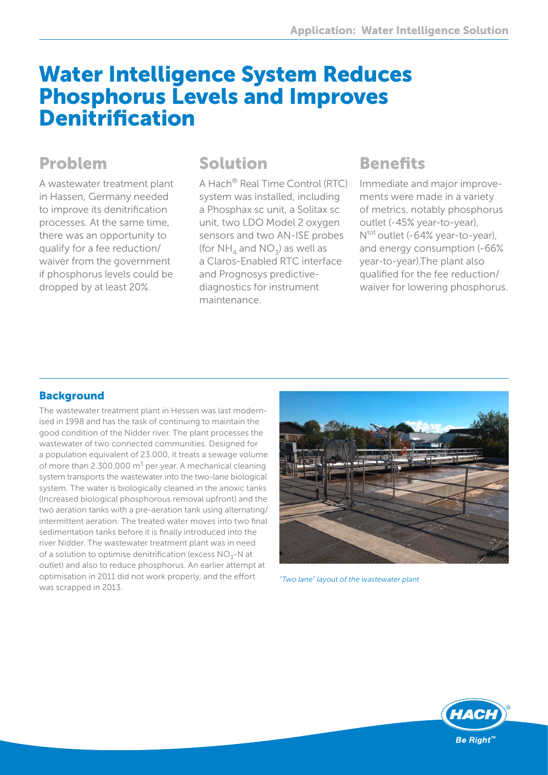# Water Intelligence System Reduces Phosphorus Levels and Improves Denitrification

## Problem

A wastewater treatment plant in Hassen, Germany needed to improve its denitrification processes. At the same time, there was an opportunity to qualify for a fee reduction/ waiver from the government if phosphorus levels could be dropped by at least 20%.

### Solution

A Hach® Real Time Control (RTC) system was installed, including a Phosphax sc unit, a Solitax sc unit, two LDO Model 2 oxygen sensors and two AN-ISE probes (for  $NH_A$  and  $NO_3$ ) as well as a Claros-Enabled RTC interface and Prognosys predictivediagnostics for instrument maintenance.

# **Benefits**

Immediate and major improvements were made in a variety of metrics, notably phosphorus outlet (-45% year-to-year), Ntot outlet (-64% year-to-year), and energy consumption (-66% year-to-year).The plant also qualified for the fee reduction/ waiver for lowering phosphorus.

### **Background**

The wastewater treatment plant in Hessen was last modernised in 1998 and has the task of continuing to maintain the good condition of the Nidder river. The plant processes the wastewater of two connected communities. Designed for a population equivalent of 23.000, it treats a sewage volume of more than 2.300,000  $m<sup>3</sup>$  per year. A mechanical cleaning system transports the wastewater into the two-lane biological system. The water is biologically cleaned in the anoxic tanks (Increased biological phosphorous removal upfront) and the two aeration tanks with a pre-aeration tank using alternating/ intermittent aeration. The treated water moves into two final sedimentation tanks before it is finally introduced into the river Nidder. The wastewater treatment plant was in need of a solution to optimise denitrification (excess  $NO<sub>z</sub>$ -N at outlet) and also to reduce phosphorus. An earlier attempt at optimisation in 2011 did not work properly, and the effort was scrapped in 2013.



*"Two lane" layout of the wastewater plant*